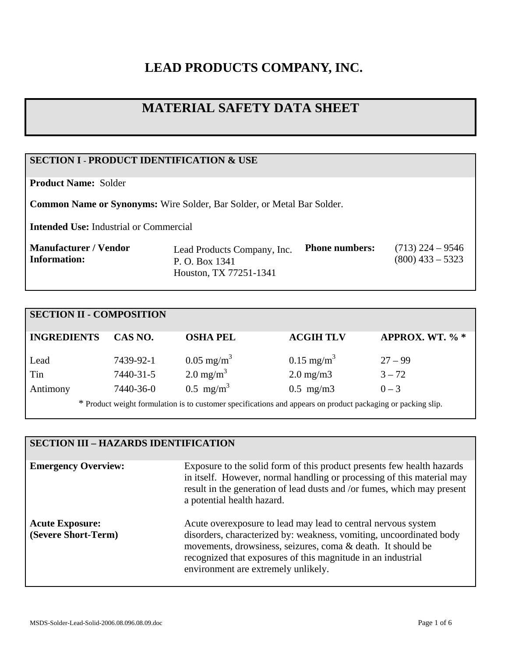# **LEAD PRODUCTS COMPANY, INC.**

# **MATERIAL SAFETY DATA SHEET**

# **SECTION I - PRODUCT IDENTIFICATION & USE**

**Product Name:** Solder

**Common Name or Synonyms:** Wire Solder, Bar Solder, or Metal Bar Solder.

**Intended Use:** Industrial or Commercial

| Manufacturer / Vendor | Lead Products Company, Inc. | <b>Phone numbers:</b> | $(713)$ 224 – 9546 |
|-----------------------|-----------------------------|-----------------------|--------------------|
| Information:          | P. O. Box 1341              |                       | $(800)$ 433 – 5323 |
|                       | Houston, TX 77251-1341      |                       |                    |

| <b>SECTION II - COMPOSITION</b>                                                                              |           |                         |                       |                 |
|--------------------------------------------------------------------------------------------------------------|-----------|-------------------------|-----------------------|-----------------|
| <b>INGREDIENTS</b>                                                                                           | CAS NO.   | <b>OSHA PEL</b>         | <b>ACGIH TLV</b>      | APPROX. WT. % * |
| Lead                                                                                                         | 7439-92-1 | $0.05 \text{ mg/m}^3$   | $0.15 \text{ mg/m}^3$ | $27 - 99$       |
| Tin                                                                                                          | 7440-31-5 | $2.0 \text{ mg/m}^3$    | $2.0 \text{ mg/m}$    | $3 - 72$        |
| Antimony                                                                                                     | 7440-36-0 | $0.5$ mg/m <sup>3</sup> | $0.5$ mg/m $3$        | $0 - 3$         |
| * Product weight formulation is to customer specifications and appears on product packaging or packing slip. |           |                         |                       |                 |

# **SECTION III – HAZARDS IDENTIFICATION**

| <b>Emergency Overview:</b>                    | Exposure to the solid form of this product presents few health hazards<br>in itself. However, normal handling or processing of this material may<br>result in the generation of lead dusts and /or fumes, which may present<br>a potential health hazard.                                                  |
|-----------------------------------------------|------------------------------------------------------------------------------------------------------------------------------------------------------------------------------------------------------------------------------------------------------------------------------------------------------------|
| <b>Acute Exposure:</b><br>(Severe Short-Term) | Acute overexposure to lead may lead to central nervous system<br>disorders, characterized by: weakness, vomiting, uncoordinated body<br>movements, drowsiness, seizures, coma & death. It should be<br>recognized that exposures of this magnitude in an industrial<br>environment are extremely unlikely. |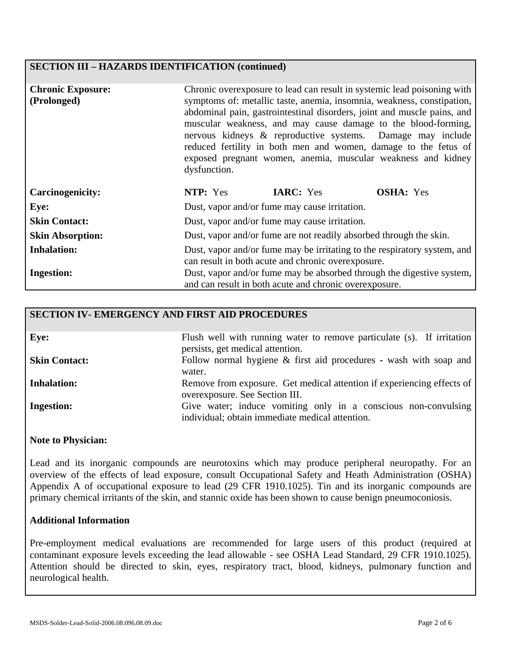#### **SECTION III – HAZARDS IDENTIFICATION (continued)**

| <b>Chronic Exposure:</b><br>(Prolonged) | Chronic overexposure to lead can result in systemic lead poisoning with<br>symptoms of: metallic taste, anemia, insomnia, weakness, constipation,<br>abdominal pain, gastrointestinal disorders, joint and muscle pains, and<br>muscular weakness, and may cause damage to the blood-forming,<br>nervous kidneys & reproductive systems. Damage may include<br>reduced fertility in both men and women, damage to the fetus of<br>exposed pregnant women, anemia, muscular weakness and kidney<br>dysfunction. |                  |                  |
|-----------------------------------------|----------------------------------------------------------------------------------------------------------------------------------------------------------------------------------------------------------------------------------------------------------------------------------------------------------------------------------------------------------------------------------------------------------------------------------------------------------------------------------------------------------------|------------------|------------------|
| <b>Carcinogenicity:</b>                 | NTP: Yes                                                                                                                                                                                                                                                                                                                                                                                                                                                                                                       | <b>IARC:</b> Yes | <b>OSHA:</b> Yes |
| Eye:                                    | Dust, vapor and/or fume may cause irritation.                                                                                                                                                                                                                                                                                                                                                                                                                                                                  |                  |                  |
| <b>Skin Contact:</b>                    | Dust, vapor and/or fume may cause irritation.                                                                                                                                                                                                                                                                                                                                                                                                                                                                  |                  |                  |
| <b>Skin Absorption:</b>                 | Dust, vapor and/or fume are not readily absorbed through the skin.                                                                                                                                                                                                                                                                                                                                                                                                                                             |                  |                  |
| <b>Inhalation:</b>                      | Dust, vapor and/or fume may be irritating to the respiratory system, and<br>can result in both acute and chronic overexposure.                                                                                                                                                                                                                                                                                                                                                                                 |                  |                  |
| <b>Ingestion:</b>                       | Dust, vapor and/or fume may be absorbed through the digestive system,<br>and can result in both acute and chronic overexposure.                                                                                                                                                                                                                                                                                                                                                                                |                  |                  |

#### **SECTION IV- EMERGENCY AND FIRST AID PROCEDURES**

| Eye:                 | Flush well with running water to remove particulate (s). If irritation |
|----------------------|------------------------------------------------------------------------|
|                      | persists, get medical attention.                                       |
|                      |                                                                        |
| <b>Skin Contact:</b> | Follow normal hygiene $\&$ first aid procedures - wash with soap and   |
|                      | water.                                                                 |
|                      |                                                                        |
| <b>Inhalation:</b>   | Remove from exposure. Get medical attention if experiencing effects of |
|                      | overexposure. See Section III.                                         |
|                      |                                                                        |
| <b>Ingestion:</b>    | Give water; induce vomiting only in a conscious non-convulsing         |
|                      | individual; obtain immediate medical attention.                        |
|                      |                                                                        |

#### **Note to Physician:**

Lead and its inorganic compounds are neurotoxins which may produce peripheral neuropathy. For an overview of the effects of lead exposure, consult Occupational Safety and Heath Administration (OSHA) Appendix A of occupational exposure to lead (29 CFR 1910.1025). Tin and its inorganic compounds are primary chemical irritants of the skin, and stannic oxide has been shown to cause benign pneumoconiosis.

#### **Additional Information**

Pre-employment medical evaluations are recommended for large users of this product (required at contaminant exposure levels exceeding the lead allowable - see OSHA Lead Standard, 29 CFR 1910.1025). Attention should be directed to skin, eyes, respiratory tract, blood, kidneys, pulmonary function and neurological health.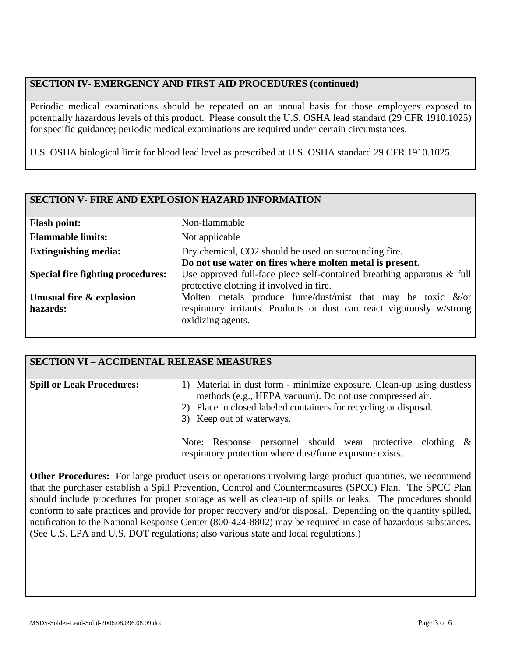### **SECTION IV- EMERGENCY AND FIRST AID PROCEDURES (continued)**

Periodic medical examinations should be repeated on an annual basis for those employees exposed to potentially hazardous levels of this product. Please consult the U.S. OSHA lead standard (29 CFR 1910.1025) for specific guidance; periodic medical examinations are required under certain circumstances.

U.S. OSHA biological limit for blood lead level as prescribed at U.S. OSHA standard 29 CFR 1910.1025.

#### **SECTION V- FIRE AND EXPLOSION HAZARD INFORMATION**

| <b>Flash point:</b>                      | Non-flammable                                                                                                                                                 |
|------------------------------------------|---------------------------------------------------------------------------------------------------------------------------------------------------------------|
| <b>Flammable limits:</b>                 | Not applicable                                                                                                                                                |
| <b>Extinguishing media:</b>              | Dry chemical, CO2 should be used on surrounding fire.                                                                                                         |
|                                          | Do not use water on fires where molten metal is present.                                                                                                      |
| <b>Special fire fighting procedures:</b> | Use approved full-face piece self-contained breathing apparatus $\&$ full<br>protective clothing if involved in fire.                                         |
| Unusual fire & explosion<br>hazards:     | Molten metals produce fume/dust/mist that may be toxic $\&$ /or<br>respiratory irritants. Products or dust can react vigorously w/strong<br>oxidizing agents. |

#### **SECTION VI – ACCIDENTAL RELEASE MEASURES**

| <b>Spill or Leak Procedures:</b> | 1) Material in dust form - minimize exposure. Clean-up using dustless                                                                                    |  |  |
|----------------------------------|----------------------------------------------------------------------------------------------------------------------------------------------------------|--|--|
|                                  | methods (e.g., HEPA vacuum). Do not use compressed air.<br>2) Place in closed labeled containers for recycling or disposal.<br>3) Keep out of waterways. |  |  |
|                                  |                                                                                                                                                          |  |  |
|                                  |                                                                                                                                                          |  |  |
|                                  |                                                                                                                                                          |  |  |
|                                  | Note: Response personnel should wear protective clothing $\&$                                                                                            |  |  |

**Other Procedures:** For large product users or operations involving large product quantities, we recommend that the purchaser establish a Spill Prevention, Control and Countermeasures (SPCC) Plan. The SPCC Plan should include procedures for proper storage as well as clean-up of spills or leaks. The procedures should conform to safe practices and provide for proper recovery and/or disposal. Depending on the quantity spilled, notification to the National Response Center (800-424-8802) may be required in case of hazardous substances. (See U.S. EPA and U.S. DOT regulations; also various state and local regulations.)

respiratory protection where dust/fume exposure exists.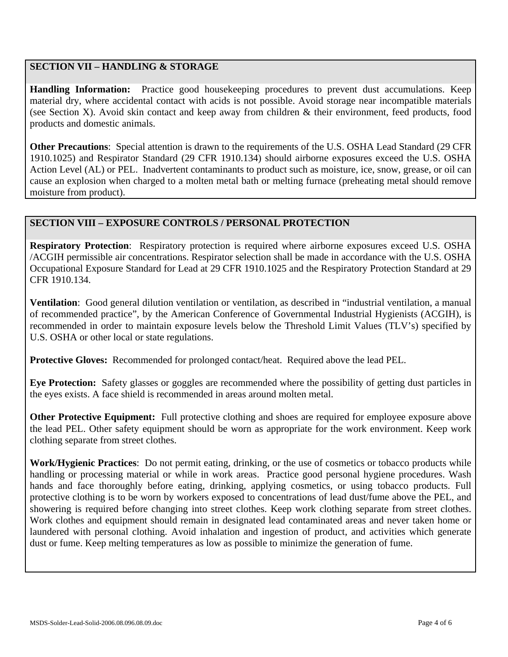## **SECTION VII – HANDLING & STORAGE**

**Handling Information:** Practice good housekeeping procedures to prevent dust accumulations. Keep material dry, where accidental contact with acids is not possible. Avoid storage near incompatible materials (see Section X). Avoid skin contact and keep away from children & their environment, feed products, food products and domestic animals.

**Other Precautions**: Special attention is drawn to the requirements of the U.S. OSHA Lead Standard (29 CFR 1910.1025) and Respirator Standard (29 CFR 1910.134) should airborne exposures exceed the U.S. OSHA Action Level (AL) or PEL. Inadvertent contaminants to product such as moisture, ice, snow, grease, or oil can cause an explosion when charged to a molten metal bath or melting furnace (preheating metal should remove moisture from product).

#### **SECTION VIII – EXPOSURE CONTROLS / PERSONAL PROTECTION**

**Respiratory Protection**: Respiratory protection is required where airborne exposures exceed U.S. OSHA /ACGIH permissible air concentrations. Respirator selection shall be made in accordance with the U.S. OSHA Occupational Exposure Standard for Lead at 29 CFR 1910.1025 and the Respiratory Protection Standard at 29 CFR 1910.134.

**Ventilation**: Good general dilution ventilation or ventilation, as described in "industrial ventilation, a manual of recommended practice", by the American Conference of Governmental Industrial Hygienists (ACGIH), is recommended in order to maintain exposure levels below the Threshold Limit Values (TLV's) specified by U.S. OSHA or other local or state regulations.

**Protective Gloves:** Recommended for prolonged contact/heat. Required above the lead PEL.

**Eye Protection:** Safety glasses or goggles are recommended where the possibility of getting dust particles in the eyes exists. A face shield is recommended in areas around molten metal.

**Other Protective Equipment:** Full protective clothing and shoes are required for employee exposure above the lead PEL. Other safety equipment should be worn as appropriate for the work environment. Keep work clothing separate from street clothes.

**Work/Hygienic Practices**: Do not permit eating, drinking, or the use of cosmetics or tobacco products while handling or processing material or while in work areas. Practice good personal hygiene procedures. Wash hands and face thoroughly before eating, drinking, applying cosmetics, or using tobacco products. Full protective clothing is to be worn by workers exposed to concentrations of lead dust/fume above the PEL, and showering is required before changing into street clothes. Keep work clothing separate from street clothes. Work clothes and equipment should remain in designated lead contaminated areas and never taken home or laundered with personal clothing. Avoid inhalation and ingestion of product, and activities which generate dust or fume. Keep melting temperatures as low as possible to minimize the generation of fume.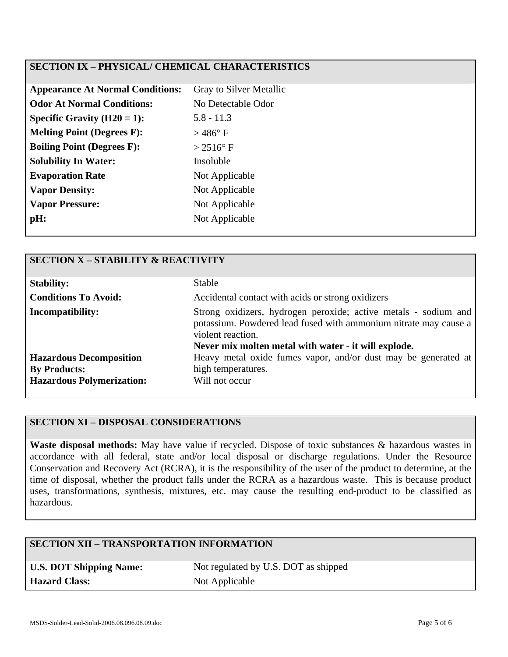## **SECTION IX – PHYSICAL/ CHEMICAL CHARACTERISTICS**

| <b>Appearance At Normal Conditions:</b> | Gray to Silver Metallic |
|-----------------------------------------|-------------------------|
| <b>Odor At Normal Conditions:</b>       | No Detectable Odor      |
| Specific Gravity $(H20 = 1)$ :          | $5.8 - 11.3$            |
| <b>Melting Point (Degrees F):</b>       | $>$ 486 $\degree$ F     |
| <b>Boiling Point (Degrees F):</b>       | $> 2516$ °F             |
| <b>Solubility In Water:</b>             | Insoluble               |
| <b>Evaporation Rate</b>                 | Not Applicable          |
| <b>Vapor Density:</b>                   | Not Applicable          |
| <b>Vapor Pressure:</b>                  | Not Applicable          |
| pH:                                     | Not Applicable          |
|                                         |                         |

| <b>SECTION X - STABILITY &amp; REACTIVITY</b> |                                                                                                                                                                                                                  |  |  |
|-----------------------------------------------|------------------------------------------------------------------------------------------------------------------------------------------------------------------------------------------------------------------|--|--|
| <b>Stability:</b>                             | Stable                                                                                                                                                                                                           |  |  |
| <b>Conditions To Avoid:</b>                   | Accidental contact with acids or strong oxidizers                                                                                                                                                                |  |  |
| <b>Incompatibility:</b>                       | Strong oxidizers, hydrogen peroxide; active metals - sodium and<br>potassium. Powdered lead fused with ammonium nitrate may cause a<br>violent reaction.<br>Never mix molten metal with water - it will explode. |  |  |
| <b>Hazardous Decomposition</b>                | Heavy metal oxide fumes vapor, and/or dust may be generated at                                                                                                                                                   |  |  |
| <b>By Products:</b>                           | high temperatures.                                                                                                                                                                                               |  |  |
| <b>Hazardous Polymerization:</b>              | Will not occur                                                                                                                                                                                                   |  |  |

# **SECTION XI – DISPOSAL CONSIDERATIONS**

**Waste disposal methods:** May have value if recycled. Dispose of toxic substances & hazardous wastes in accordance with all federal, state and/or local disposal or discharge regulations. Under the Resource Conservation and Recovery Act (RCRA), it is the responsibility of the user of the product to determine, at the time of disposal, whether the product falls under the RCRA as a hazardous waste. This is because product uses, transformations, synthesis, mixtures, etc. may cause the resulting end-product to be classified as hazardous.

### **SECTION XII – TRANSPORTATION INFORMATION**

| <b>U.S. DOT Shipping Name:</b> |
|--------------------------------|
| <b>Hazard Class:</b>           |

Not regulated by U.S. DOT as shipped **Not Applicable**